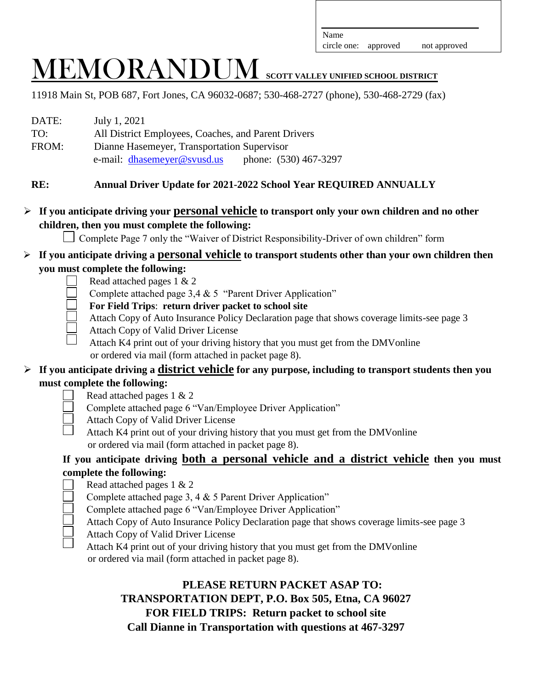circle one: approved not approved

# MEMORANDUM **SCOTT VALLEY UNIFIED SCHOOL DISTRICT**

11918 Main St, POB 687, Fort Jones, CA 96032-0687; 530-468-2727 (phone), 530-468-2729 (fax)

| DATE: | July 1, 2021                                         |
|-------|------------------------------------------------------|
| TO:   | All District Employees, Coaches, and Parent Drivers  |
| FROM: | Dianne Hasemeyer, Transportation Supervisor          |
|       | phone: (530) 467-3297<br>e-mail: dhasemeyer@svusd.us |

### **RE: Annual Driver Update for 2021-2022 School Year REQUIRED ANNUALLY**

### **If you anticipate driving your personal vehicle to transport only your own children and no other children, then you must complete the following:**

Complete Page 7 only the "Waiver of District Responsibility-Driver of own children" form

### **If you anticipate driving a personal vehicle to transport students other than your own children then you must complete the following:**

- Read attached pages 1 & 2
- Complete attached page 3,4 & 5 "Parent Driver Application"
- **For Field Trips**: **return driver packet to school site**
- Attach Copy of Auto Insurance Policy Declaration page that shows coverage limits-see page 3
- Attach Copy of Valid Driver License
	- Attach K4 print out of your driving history that you must get from the DMVonline or ordered via mail (form attached in packet page 8).

### **If you anticipate driving a district vehicle for any purpose, including to transport students then you must complete the following:**

- Read attached pages 1 & 2
- Complete attached page 6 "Van/Employee Driver Application"
- Attach Copy of Valid Driver License
- Attach K4 print out of your driving history that you must get from the DMVonline or ordered via mail (form attached in packet page 8).

### **If you anticipate driving both a personal vehicle and a district vehicle then you must complete the following:**

- Read attached pages 1 & 2
- Complete attached page 3, 4 & 5 Parent Driver Application"
- Complete attached page 6 "Van/Employee Driver Application"
- Attach Copy of Auto Insurance Policy Declaration page that shows coverage limits-see page 3
- Attach Copy of Valid Driver License
- Attach K4 print out of your driving history that you must get from the DMVonline or ordered via mail (form attached in packet page 8).

### **PLEASE RETURN PACKET ASAP TO: TRANSPORTATION DEPT, P.O. Box 505, Etna, CA 96027 FOR FIELD TRIPS: Return packet to school site Call Dianne in Transportation with questions at 467-3297**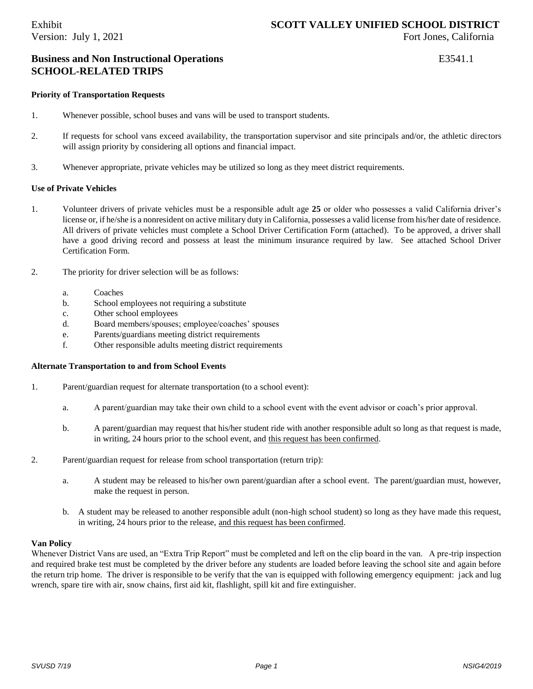### **Business and Non Instructional Operations** E3541.1 **SCHOOL-RELATED TRIPS**

### **Priority of Transportation Requests**

- 1. Whenever possible, school buses and vans will be used to transport students.
- 2. If requests for school vans exceed availability, the transportation supervisor and site principals and/or, the athletic directors will assign priority by considering all options and financial impact.
- 3. Whenever appropriate, private vehicles may be utilized so long as they meet district requirements.

### **Use of Private Vehicles**

- 1. Volunteer drivers of private vehicles must be a responsible adult age **25** or older who possesses a valid California driver's license or, if he/she is a nonresident on active military duty in California, possesses a valid license from his/her date of residence. All drivers of private vehicles must complete a School Driver Certification Form (attached). To be approved, a driver shall have a good driving record and possess at least the minimum insurance required by law. See attached School Driver Certification Form.
- 2. The priority for driver selection will be as follows:
	- a. Coaches
	- b. School employees not requiring a substitute
	- c. Other school employees
	- d. Board members/spouses; employee/coaches' spouses
	- e. Parents/guardians meeting district requirements
	- f. Other responsible adults meeting district requirements

### **Alternate Transportation to and from School Events**

- 1. Parent/guardian request for alternate transportation (to a school event):
	- a. A parent/guardian may take their own child to a school event with the event advisor or coach's prior approval.
	- b. A parent/guardian may request that his/her student ride with another responsible adult so long as that request is made, in writing, 24 hours prior to the school event, and this request has been confirmed.
- 2. Parent/guardian request for release from school transportation (return trip):
	- a. A student may be released to his/her own parent/guardian after a school event. The parent/guardian must, however, make the request in person.
	- b. A student may be released to another responsible adult (non-high school student) so long as they have made this request, in writing, 24 hours prior to the release, and this request has been confirmed.

### **Van Policy**

Whenever District Vans are used, an "Extra Trip Report" must be completed and left on the clip board in the van. A pre-trip inspection and required brake test must be completed by the driver before any students are loaded before leaving the school site and again before the return trip home. The driver is responsible to be verify that the van is equipped with following emergency equipment: jack and lug wrench, spare tire with air, snow chains, first aid kit, flashlight, spill kit and fire extinguisher.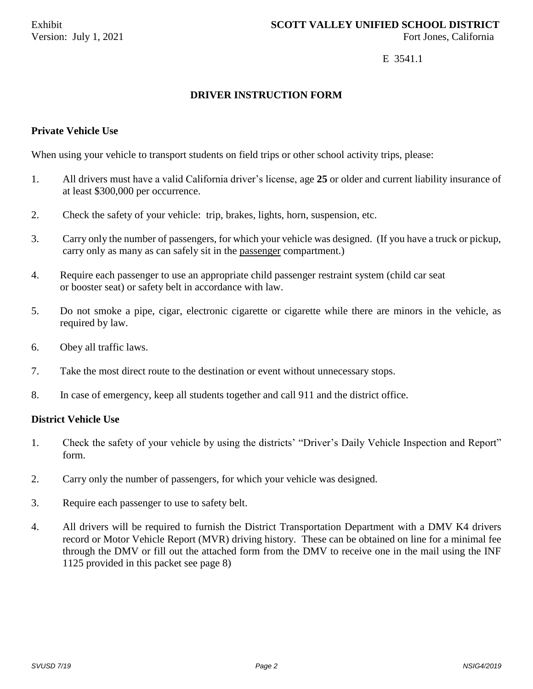### E 3541.1

### **DRIVER INSTRUCTION FORM**

### **Private Vehicle Use**

When using your vehicle to transport students on field trips or other school activity trips, please:

- 1. All drivers must have a valid California driver's license, age **25** or older and current liability insurance of at least \$300,000 per occurrence.
- 2. Check the safety of your vehicle: trip, brakes, lights, horn, suspension, etc.
- 3. Carry only the number of passengers, for which your vehicle was designed. (If you have a truck or pickup, carry only as many as can safely sit in the passenger compartment.)
- 4. Require each passenger to use an appropriate child passenger restraint system (child car seat or booster seat) or safety belt in accordance with law.
- 5. Do not smoke a pipe, cigar, electronic cigarette or cigarette while there are minors in the vehicle, as required by law.
- 6. Obey all traffic laws.
- 7. Take the most direct route to the destination or event without unnecessary stops.
- 8. In case of emergency, keep all students together and call 911 and the district office.

### **District Vehicle Use**

- 1. Check the safety of your vehicle by using the districts' "Driver's Daily Vehicle Inspection and Report" form.
- 2. Carry only the number of passengers, for which your vehicle was designed.
- 3. Require each passenger to use to safety belt.
- 4. All drivers will be required to furnish the District Transportation Department with a DMV K4 drivers record or Motor Vehicle Report (MVR) driving history. These can be obtained on line for a minimal fee through the DMV or fill out the attached form from the DMV to receive one in the mail using the INF 1125 provided in this packet see page 8)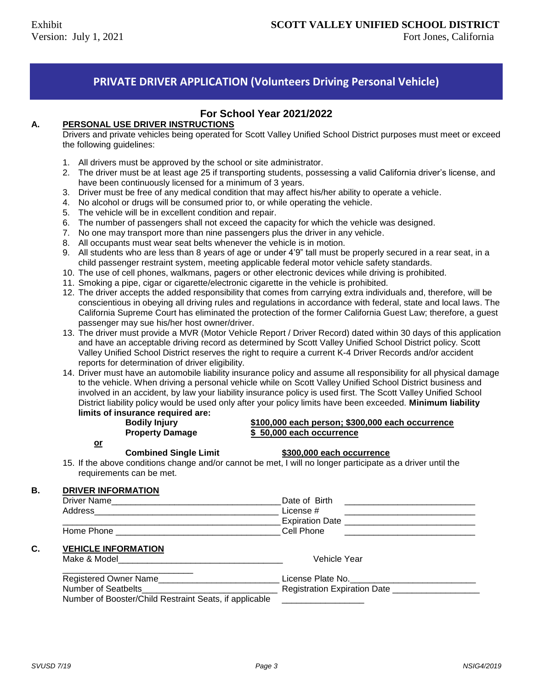### **PRIVATE DRIVER APPLICATION (Volunteers Driving Personal Vehicle)**

### **For School Year 2021/2022**

### **A. PERSONAL USE DRIVER INSTRUCTIONS**

Drivers and private vehicles being operated for Scott Valley Unified School District purposes must meet or exceed the following guidelines:

- 1. All drivers must be approved by the school or site administrator.
- 2. The driver must be at least age 25 if transporting students, possessing a valid California driver's license, and have been continuously licensed for a minimum of 3 years.
- 3. Driver must be free of any medical condition that may affect his/her ability to operate a vehicle.
- 4. No alcohol or drugs will be consumed prior to, or while operating the vehicle.
- 5. The vehicle will be in excellent condition and repair.
- 6. The number of passengers shall not exceed the capacity for which the vehicle was designed.
- 7. No one may transport more than nine passengers plus the driver in any vehicle.
- 8. All occupants must wear seat belts whenever the vehicle is in motion.
- 9. All students who are less than 8 years of age or under 4'9" tall must be properly secured in a rear seat, in a child passenger restraint system, meeting applicable federal motor vehicle safety standards.
- 10. The use of cell phones, walkmans, pagers or other electronic devices while driving is prohibited.
- 11. Smoking a pipe, cigar or cigarette/electronic cigarette in the vehicle is prohibited.
- 12. The driver accepts the added responsibility that comes from carrying extra individuals and, therefore, will be conscientious in obeying all driving rules and regulations in accordance with federal, state and local laws. The California Supreme Court has eliminated the protection of the former California Guest Law; therefore, a guest passenger may sue his/her host owner/driver.
- 13. The driver must provide a MVR (Motor Vehicle Report / Driver Record) dated within 30 days of this application and have an acceptable driving record as determined by Scott Valley Unified School District policy. Scott Valley Unified School District reserves the right to require a current K-4 Driver Records and/or accident reports for determination of driver eligibility.
- 14. Driver must have an automobile liability insurance policy and assume all responsibility for all physical damage to the vehicle. When driving a personal vehicle while on Scott Valley Unified School District business and involved in an accident, by law your liability insurance policy is used first. The Scott Valley Unified School District liability policy would be used only after your policy limits have been exceeded. **Minimum liability limits of insurance required are:**

### **Bodily Injury \$100,000 each person; \$300,000 each occurrence Property Damage \$ 50,000 each occurrence**

**or**

### **Combined Single Limit \$300,000 each occurrence**

15. If the above conditions change and/or cannot be met, I will no longer participate as a driver until the requirements can be met.

### **B. DRIVER INFORMATION**

| Driver Name                                                                  | Date of Birth                                                                                                        |
|------------------------------------------------------------------------------|----------------------------------------------------------------------------------------------------------------------|
|                                                                              | License #                                                                                                            |
|                                                                              | Expiration Date <b>Expiration</b> Date                                                                               |
| Home Phone <b>Cell</b> Phone                                                 | <u> 1980 - Jan Samuel Barbara, martin d</u>                                                                          |
| <b>VEHICLE INFORMATION</b>                                                   |                                                                                                                      |
| Make & Model <b>Make Structure</b> Make <b>Structure Make Structure 1999</b> | Vehicle Year                                                                                                         |
| Registered Owner Name                                                        | License Plate No.                                                                                                    |
|                                                                              | <b>Registration Expiration Date</b>                                                                                  |
| Number of Booster/Child Restraint Seats, if applicable                       | <u> 1980 - Jan Bernard Bernard Bernard Bernard Bernard Bernard Bernard Bernard Bernard Bernard Bernard Bernard B</u> |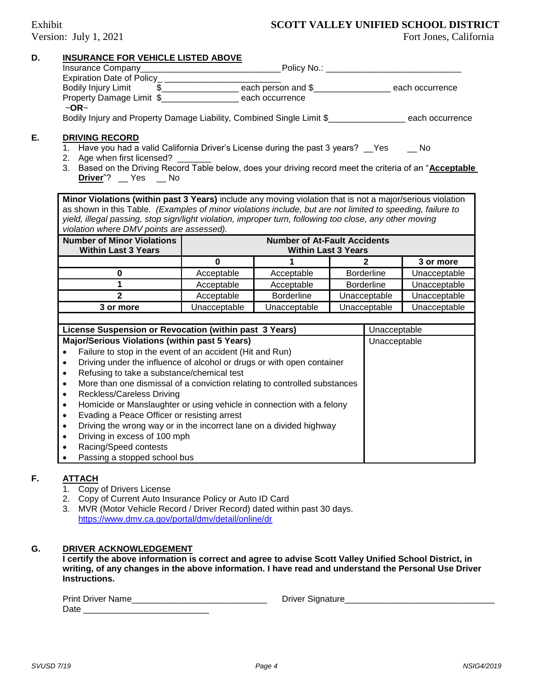### Exhibit **SCOTT VALLEY UNIFIED SCHOOL DISTRICT**

| D. | <b>INSURANCE FOR VEHICLE LISTED ABOVE</b>                                                                                                        |              |                                     |  |                   |              |
|----|--------------------------------------------------------------------------------------------------------------------------------------------------|--------------|-------------------------------------|--|-------------------|--------------|
|    |                                                                                                                                                  |              |                                     |  |                   |              |
|    |                                                                                                                                                  |              |                                     |  |                   |              |
|    |                                                                                                                                                  |              |                                     |  |                   |              |
|    | Property Damage Limit \$ each occurrence                                                                                                         |              |                                     |  |                   |              |
|    | $\sim$ OR $\sim$                                                                                                                                 |              |                                     |  |                   |              |
|    | Bodily Injury and Property Damage Liability, Combined Single Limit \$__________________each occurrence                                           |              |                                     |  |                   |              |
| Е. | <b>DRIVING RECORD</b>                                                                                                                            |              |                                     |  |                   |              |
|    | 1. Have you had a valid California Driver's License during the past 3 years? __Yes ___ No                                                        |              |                                     |  |                   |              |
|    | 2. Age when first licensed?                                                                                                                      |              |                                     |  |                   |              |
|    | 3. Based on the Driving Record Table below, does your driving record meet the criteria of an "Acceptable                                         |              |                                     |  |                   |              |
|    | Driver"? Yes Mo                                                                                                                                  |              |                                     |  |                   |              |
|    | Minor Violations (within past 3 Years) include any moving violation that is not a major/serious violation                                        |              |                                     |  |                   |              |
|    | as shown in this Table. (Examples of minor violations include, but are not limited to speeding, failure to                                       |              |                                     |  |                   |              |
|    | yield, illegal passing, stop sign/light violation, improper turn, following too close, any other moving                                          |              |                                     |  |                   |              |
|    | violation where DMV points are assessed).                                                                                                        |              |                                     |  |                   |              |
|    | <b>Number of Minor Violations</b>                                                                                                                |              | <b>Number of At-Fault Accidents</b> |  |                   |              |
|    | <b>Within Last 3 Years</b>                                                                                                                       |              | <b>Within Last 3 Years</b>          |  |                   |              |
|    |                                                                                                                                                  | $\mathbf{0}$ | $\overline{1}$                      |  | $\overline{2}$    | 3 or more    |
|    | $\bf{0}$                                                                                                                                         | Acceptable   | Acceptable                          |  | <b>Borderline</b> | Unacceptable |
|    | $\overline{1}$                                                                                                                                   | Acceptable   | Acceptable                          |  | <b>Borderline</b> | Unacceptable |
|    | $\overline{2}$                                                                                                                                   | Acceptable   | <b>Borderline</b>                   |  | Unacceptable      | Unacceptable |
|    | 3 or more                                                                                                                                        | Unacceptable | Unacceptable                        |  | Unacceptable      | Unacceptable |
|    |                                                                                                                                                  |              |                                     |  |                   |              |
|    | License Suspension or Revocation (within past 3 Years)                                                                                           |              |                                     |  | Unacceptable      |              |
|    | Major/Serious Violations (within past 5 Years)                                                                                                   |              |                                     |  | Unacceptable      |              |
|    | Failure to stop in the event of an accident (Hit and Run)<br>$\bullet$<br>Driving under the influence of alcohol or drugs or with open container |              |                                     |  |                   |              |
|    | $\bullet$                                                                                                                                        |              |                                     |  |                   |              |
|    | Refusing to take a substance/chemical test<br>$\bullet$                                                                                          |              |                                     |  |                   |              |
|    | More than one dismissal of a conviction relating to controlled substances<br>$\bullet$                                                           |              |                                     |  |                   |              |
|    | Reckless/Careless Driving<br>$\bullet$                                                                                                           |              |                                     |  |                   |              |
|    | Homicide or Manslaughter or using vehicle in connection with a felony<br>$\bullet$                                                               |              |                                     |  |                   |              |
|    | Evading a Peace Officer or resisting arrest<br>$\bullet$                                                                                         |              |                                     |  |                   |              |
|    | Driving the wrong way or in the incorrect lane on a divided highway<br>$\bullet$                                                                 |              |                                     |  |                   |              |
|    | Driving in excess of 100 mph<br>$\bullet$                                                                                                        |              |                                     |  |                   |              |
|    | Racing/Speed contests<br>$\bullet$                                                                                                               |              |                                     |  |                   |              |
|    | Passing a stopped school bus                                                                                                                     |              |                                     |  |                   |              |
|    |                                                                                                                                                  |              |                                     |  |                   |              |

### **F. ATTACH**

- 1. Copy of Drivers License
- 2. Copy of Current Auto Insurance Policy or Auto ID Card
- 3. MVR (Motor Vehicle Record / Driver Record) dated within past 30 days. <https://www.dmv.ca.gov/portal/dmv/detail/online/dr>

### **G. DRIVER ACKNOWLEDGEMENT**

**I certify the above information is correct and agree to advise Scott Valley Unified School District, in writing, of any changes in the above information. I have read and understand the Personal Use Driver Instructions.**

| <b>Print Driver Name</b> | ⊃rıver<br>Signature |
|--------------------------|---------------------|
| Date                     |                     |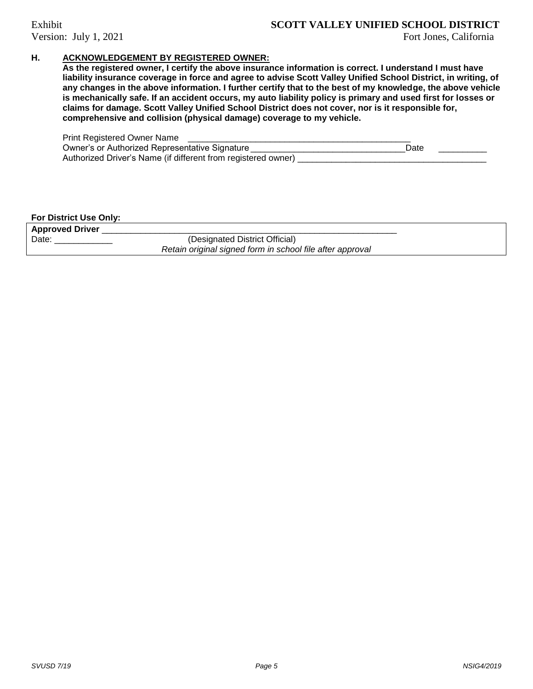### Exhibit **SCOTT VALLEY UNIFIED SCHOOL DISTRICT**

### **H. ACKNOWLEDGEMENT BY REGISTERED OWNER:**

**As the registered owner, I certify the above insurance information is correct. I understand I must have liability insurance coverage in force and agree to advise Scott Valley Unified School District, in writing, of any changes in the above information. I further certify that to the best of my knowledge, the above vehicle is mechanically safe. If an accident occurs, my auto liability policy is primary and used first for losses or claims for damage. Scott Valley Unified School District does not cover, nor is it responsible for, comprehensive and collision (physical damage) coverage to my vehicle.** 

| Print Registered Owner Name                                   |      |  |
|---------------------------------------------------------------|------|--|
| Owner's or Authorized Representative Signature                | Date |  |
| Authorized Driver's Name (if different from registered owner) |      |  |

### **For District Use Only:**

| <b>Approved Driver</b> |                                                           |
|------------------------|-----------------------------------------------------------|
| Date                   | (Designated District Official)                            |
|                        | Retain original signed form in school file after approval |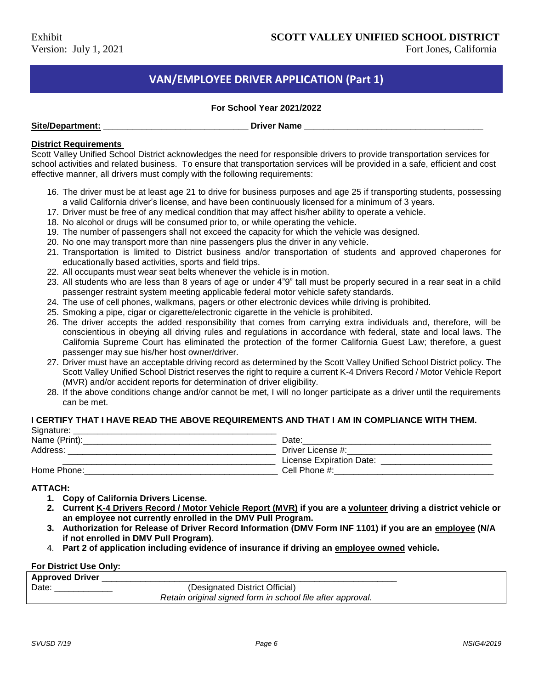### **VAN/EMPLOYEE DRIVER APPLICATION (Part 1)**

### **For School Year 2021/2022**

| Site/Department: |
|------------------|
|------------------|

**Driver Name** 

### **District Requirements**

Scott Valley Unified School District acknowledges the need for responsible drivers to provide transportation services for school activities and related business. To ensure that transportation services will be provided in a safe, efficient and cost effective manner, all drivers must comply with the following requirements:

- 16. The driver must be at least age 21 to drive for business purposes and age 25 if transporting students, possessing a valid California driver's license, and have been continuously licensed for a minimum of 3 years.
- 17. Driver must be free of any medical condition that may affect his/her ability to operate a vehicle.
- 18. No alcohol or drugs will be consumed prior to, or while operating the vehicle.
- 19. The number of passengers shall not exceed the capacity for which the vehicle was designed.
- 20. No one may transport more than nine passengers plus the driver in any vehicle.
- 21. Transportation is limited to District business and/or transportation of students and approved chaperones for educationally based activities, sports and field trips.
- 22. All occupants must wear seat belts whenever the vehicle is in motion.
- 23. All students who are less than 8 years of age or under 4"9" tall must be properly secured in a rear seat in a child passenger restraint system meeting applicable federal motor vehicle safety standards.
- 24. The use of cell phones, walkmans, pagers or other electronic devices while driving is prohibited.
- 25. Smoking a pipe, cigar or cigarette/electronic cigarette in the vehicle is prohibited.
- 26. The driver accepts the added responsibility that comes from carrying extra individuals and, therefore, will be conscientious in obeying all driving rules and regulations in accordance with federal, state and local laws. The California Supreme Court has eliminated the protection of the former California Guest Law; therefore, a guest passenger may sue his/her host owner/driver.
- 27. Driver must have an acceptable driving record as determined by the Scott Valley Unified School District policy. The Scott Valley Unified School District reserves the right to require a current K-4 Drivers Record / Motor Vehicle Report (MVR) and/or accident reports for determination of driver eligibility.
- 28. If the above conditions change and/or cannot be met, I will no longer participate as a driver until the requirements can be met.

### **I CERTIFY THAT I HAVE READ THE ABOVE REQUIREMENTS AND THAT I AM IN COMPLIANCE WITH THEM.**

| Signature:    |                          |
|---------------|--------------------------|
| Name (Print): | Date:                    |
| Address:      | Driver License #:        |
|               | License Expiration Date: |
| Home Phone:   | Cell Phone #:            |

### **ATTACH:**

- **1. Copy of California Drivers License.**
- **2. Current K-4 Drivers Record / Motor Vehicle Report (MVR) if you are a volunteer driving a district vehicle or an employee not currently enrolled in the DMV Pull Program.**
- **3. Authorization for Release of Driver Record Information (DMV Form INF 1101) if you are an employee (N/A if not enrolled in DMV Pull Program).**
- 4. **Part 2 of application including evidence of insurance if driving an employee owned vehicle.**

### **For District Use Only:**

| <b>Approved Driver</b> |                                                            |
|------------------------|------------------------------------------------------------|
| Date:                  | (Designated District Official)                             |
|                        | Retain original signed form in school file after approval. |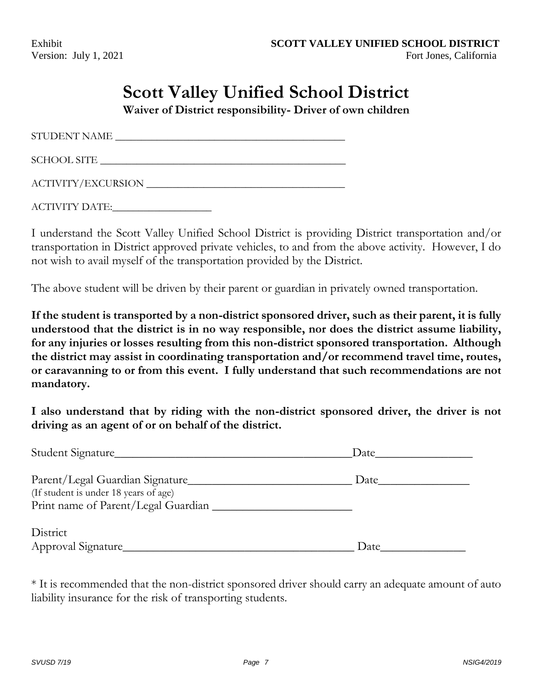## **Scott Valley Unified School District**

**Waiver of District responsibility- Driver of own children**

STUDENT NAME \_\_\_\_\_\_\_\_\_\_\_\_\_\_\_\_\_\_\_\_\_\_\_\_\_\_\_\_\_\_\_\_\_\_\_\_\_\_\_\_\_\_\_\_

SCHOOL SITE

ACTIVITY/EXCURSION \_\_\_\_\_\_\_\_\_\_\_\_\_\_\_\_\_\_\_\_\_\_\_\_\_\_\_\_\_\_\_\_\_\_\_\_\_\_

ACTIVITY DATE:

I understand the Scott Valley Unified School District is providing District transportation and/or transportation in District approved private vehicles, to and from the above activity. However, I do not wish to avail myself of the transportation provided by the District.

The above student will be driven by their parent or guardian in privately owned transportation.

**If the student is transported by a non-district sponsored driver, such as their parent, it is fully understood that the district is in no way responsible, nor does the district assume liability, for any injuries or losses resulting from this non-district sponsored transportation. Although the district may assist in coordinating transportation and/or recommend travel time, routes, or caravanning to or from this event. I fully understand that such recommendations are not mandatory.**

**I also understand that by riding with the non-district sponsored driver, the driver is not driving as an agent of or on behalf of the district.**

| Student Signature                                                                                               | Date |  |
|-----------------------------------------------------------------------------------------------------------------|------|--|
| Parent/Legal Guardian Signature<br>(If student is under 18 years of age)<br>Print name of Parent/Legal Guardian | Date |  |
| District<br>Approval Signature                                                                                  | Date |  |

\* It is recommended that the non-district sponsored driver should carry an adequate amount of auto liability insurance for the risk of transporting students.